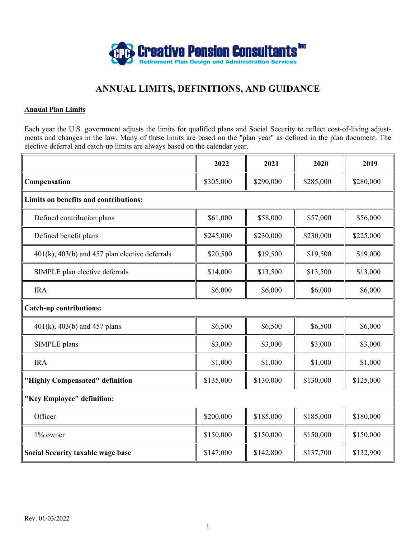

# **ANNUAL LIMITS, DEFINITIONS, AND GUIDANCE**

#### **Annual Plan Limits**

Each year the U.S. government adjusts the limits for qualified plans and Social Security to reflect cost-of-living adjustments and changes in the law. Many of these limits are based on the "plan year" as defined in the plan document. The elective deferral and catch-up limits are always based on the calendar year.

|                                                       | 2022      | 2021      | 2020      | 2019      |
|-------------------------------------------------------|-----------|-----------|-----------|-----------|
| Compensation                                          | \$305,000 | \$290,000 | \$285,000 | \$280,000 |
| Limits on benefits and contributions:                 |           |           |           |           |
| Defined contribution plans                            | \$61,000  | \$58,000  | \$57,000  | \$56,000  |
| Defined benefit plans                                 | \$245,000 | \$230,000 | \$230,000 | \$225,000 |
| $401(k)$ , $403(b)$ and $457$ plan elective deferrals | \$20,500  | \$19,500  | \$19,500  | \$19,000  |
| SIMPLE plan elective deferrals                        | \$14,000  | \$13,500  | \$13,500  | \$13,000  |
| <b>IRA</b>                                            | \$6,000   | \$6,000   | \$6,000   | \$6,000   |
| <b>Catch-up contributions:</b>                        |           |           |           |           |
| $401(k)$ , $403(b)$ and $457$ plans                   | \$6,500   | \$6,500   | \$6,500   | \$6,000   |
| SIMPLE plans                                          | \$3,000   | \$3,000   | \$3,000   | \$3,000   |
| <b>IRA</b>                                            | \$1,000   | \$1,000   | \$1,000   | \$1,000   |
| "Highly Compensated" definition                       | \$135,000 | \$130,000 | \$130,000 | \$125,000 |
| "Key Employee" definition:                            |           |           |           |           |
| Officer                                               | \$200,000 | \$185,000 | \$185,000 | \$180,000 |
| 1% owner                                              | \$150,000 | \$150,000 | \$150,000 | \$150,000 |
| <b>Social Security taxable wage base</b>              | \$147,000 | \$142,800 | \$137,700 | \$132,900 |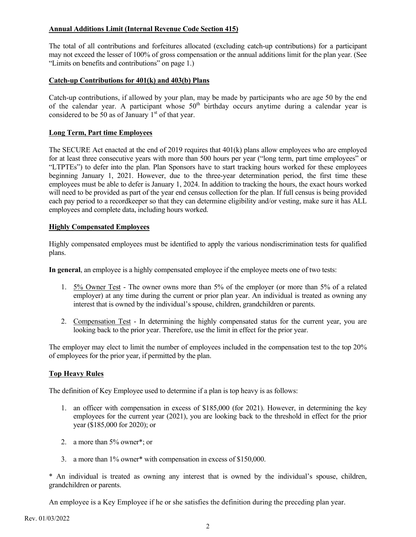# **Annual Additions Limit (Internal Revenue Code Section 415)**

The total of all contributions and forfeitures allocated (excluding catch-up contributions) for a participant may not exceed the lesser of 100% of gross compensation or the annual additions limit for the plan year. (See "Limits on benefits and contributions" on page 1.)

### **Catch-up Contributions for 401(k) and 403(b) Plans**

Catch-up contributions, if allowed by your plan, may be made by participants who are age 50 by the end of the calendar year. A participant whose  $50<sup>th</sup>$  birthday occurs anytime during a calendar year is considered to be 50 as of January  $1<sup>st</sup>$  of that year.

### **Long Term, Part time Employees**

The SECURE Act enacted at the end of 2019 requires that 401(k) plans allow employees who are employed for at least three consecutive years with more than 500 hours per year ("long term, part time employees" or "LTPTEs") to defer into the plan. Plan Sponsors have to start tracking hours worked for these employees beginning January 1, 2021. However, due to the three-year determination period, the first time these employees must be able to defer is January 1, 2024. In addition to tracking the hours, the exact hours worked will need to be provided as part of the year end census collection for the plan. If full census is being provided each pay period to a recordkeeper so that they can determine eligibility and/or vesting, make sure it has ALL employees and complete data, including hours worked.

# **Highly Compensated Employees**

Highly compensated employees must be identified to apply the various nondiscrimination tests for qualified plans.

**In general**, an employee is a highly compensated employee if the employee meets one of two tests:

- 1. 5% Owner Test The owner owns more than 5% of the employer (or more than 5% of a related employer) at any time during the current or prior plan year. An individual is treated as owning any interest that is owned by the individual's spouse, children, grandchildren or parents.
- 2. Compensation Test In determining the highly compensated status for the current year, you are looking back to the prior year. Therefore, use the limit in effect for the prior year.

The employer may elect to limit the number of employees included in the compensation test to the top 20% of employees for the prior year, if permitted by the plan.

# **Top Heavy Rules**

The definition of Key Employee used to determine if a plan is top heavy is as follows:

- 1. an officer with compensation in excess of \$185,000 (for 2021). However, in determining the key employees for the current year (2021), you are looking back to the threshold in effect for the prior year (\$185,000 for 2020); or
- 2. a more than 5% owner\*; or
- 3. a more than 1% owner\* with compensation in excess of \$150,000.

\* An individual is treated as owning any interest that is owned by the individual's spouse, children, grandchildren or parents.

An employee is a Key Employee if he or she satisfies the definition during the preceding plan year.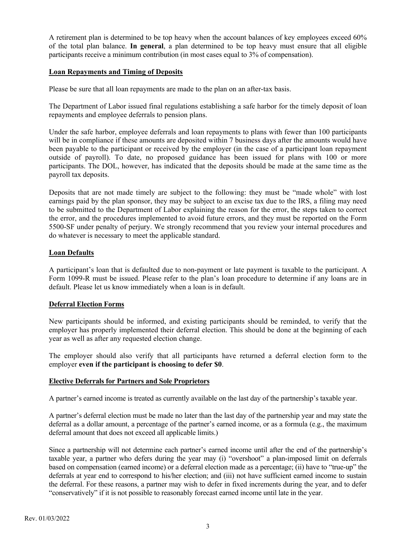A retirement plan is determined to be top heavy when the account balances of key employees exceed 60% of the total plan balance. **In general**, a plan determined to be top heavy must ensure that all eligible participants receive a minimum contribution (in most cases equal to 3% of compensation).

#### **Loan Repayments and Timing of Deposits**

Please be sure that all loan repayments are made to the plan on an after-tax basis.

The Department of Labor issued final regulations establishing a safe harbor for the timely deposit of loan repayments and employee deferrals to pension plans.

Under the safe harbor, employee deferrals and loan repayments to plans with fewer than 100 participants will be in compliance if these amounts are deposited within 7 business days after the amounts would have been payable to the participant or received by the employer (in the case of a participant loan repayment outside of payroll). To date, no proposed guidance has been issued for plans with 100 or more participants. The DOL, however, has indicated that the deposits should be made at the same time as the payroll tax deposits.

Deposits that are not made timely are subject to the following: they must be "made whole" with lost earnings paid by the plan sponsor, they may be subject to an excise tax due to the IRS, a filing may need to be submitted to the Department of Labor explaining the reason for the error, the steps taken to correct the error, and the procedures implemented to avoid future errors, and they must be reported on the Form 5500-SF under penalty of perjury. We strongly recommend that you review your internal procedures and do whatever is necessary to meet the applicable standard.

# **Loan Defaults**

A participant's loan that is defaulted due to non-payment or late payment is taxable to the participant. A Form 1099-R must be issued. Please refer to the plan's loan procedure to determine if any loans are in default. Please let us know immediately when a loan is in default.

# **Deferral Election Forms**

New participants should be informed, and existing participants should be reminded, to verify that the employer has properly implemented their deferral election. This should be done at the beginning of each year as well as after any requested election change.

The employer should also verify that all participants have returned a deferral election form to the employer **even if the participant is choosing to defer \$0**.

#### **Elective Deferrals for Partners and Sole Proprietors**

A partner's earned income is treated as currently available on the last day of the partnership's taxable year.

A partner's deferral election must be made no later than the last day of the partnership year and may state the deferral as a dollar amount, a percentage of the partner's earned income, or as a formula (e.g., the maximum deferral amount that does not exceed all applicable limits.)

Since a partnership will not determine each partner's earned income until after the end of the partnership's taxable year, a partner who defers during the year may (i) "overshoot" a plan-imposed limit on deferrals based on compensation (earned income) or a deferral election made as a percentage; (ii) have to "true-up" the deferrals at year end to correspond to his/her election; and (iii) not have sufficient earned income to sustain the deferral. For these reasons, a partner may wish to defer in fixed increments during the year, and to defer "conservatively" if it is not possible to reasonably forecast earned income until late in the year.